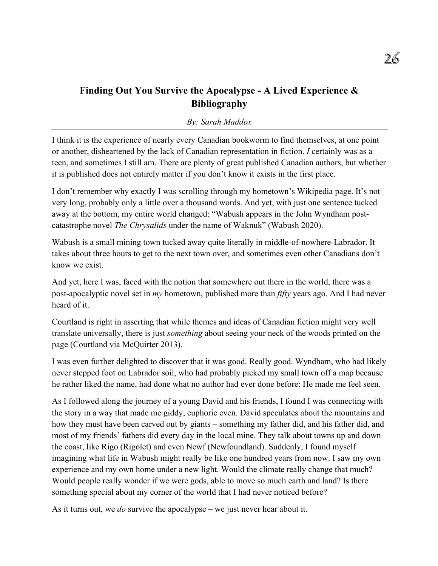# **Finding Out You Survive the Apocalypse - A Lived Experience & Bibliography**

#### *By: Sarah Maddox*

I think it is the experience of nearly every Canadian bookworm to find themselves, at one point or another, disheartened by the lack of Canadian representation in fiction. *I* certainly was as a teen, and sometimes I still am. There are plenty of great published Canadian authors, but whether it is published does not entirely matter if you don't know it exists in the first place.

I don't remember why exactly I was scrolling through my hometown's Wikipedia page. It's not very long, probably only a little over a thousand words. And yet, with just one sentence tucked away at the bottom, my entire world changed: "Wabush appears in the John Wyndham postcatastrophe novel *The Chrysalids* under the name of Waknuk" (Wabush 2020).

Wabush is a small mining town tucked away quite literally in middle-of-nowhere-Labrador. It takes about three hours to get to the next town over, and sometimes even other Canadians don't know we exist.

And yet, here I was, faced with the notion that somewhere out there in the world, there was a post-apocalyptic novel set in *my* hometown, published more than *fifty* years ago. And I had never heard of it.

Courtland is right in asserting that while themes and ideas of Canadian fiction might very well translate universally, there is just *something* about seeing your neck of the woods printed on the page (Courtland via McQuirter 2013).

I was even further delighted to discover that it was good. Really good. Wyndham, who had likely never stepped foot on Labrador soil, who had probably picked my small town off a map because he rather liked the name, had done what no author had ever done before: He made me feel seen.

As I followed along the journey of a young David and his friends, I found I was connecting with the story in a way that made me giddy, euphoric even. David speculates about the mountains and how they must have been carved out by giants – something my father did, and his father did, and most of my friends' fathers did every day in the local mine. They talk about towns up and down the coast, like Rigo (Rigolet) and even Newf (Newfoundland). Suddenly, I found myself imagining what life in Wabush might really be like one hundred years from now. I saw my own experience and my own home under a new light. Would the climate really change that much? Would people really wonder if we were gods, able to move so much earth and land? Is there something special about my corner of the world that I had never noticed before?

As it turns out, we *do* survive the apocalypse – we just never hear about it.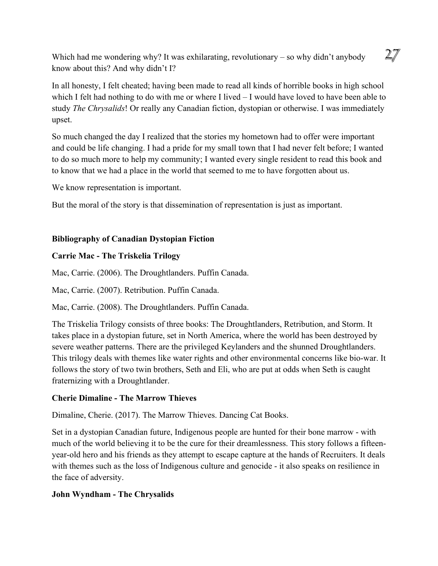Which had me wondering why? It was exhilarating, revolutionary – so why didn't anybody know about this? And why didn't I?

In all honesty, I felt cheated; having been made to read all kinds of horrible books in high school which I felt had nothing to do with me or where I lived – I would have loved to have been able to study *The Chrysalids*! Or really any Canadian fiction, dystopian or otherwise. I was immediately upset.

So much changed the day I realized that the stories my hometown had to offer were important and could be life changing. I had a pride for my small town that I had never felt before; I wanted to do so much more to help my community; I wanted every single resident to read this book and to know that we had a place in the world that seemed to me to have forgotten about us.

We know representation is important.

But the moral of the story is that dissemination of representation is just as important.

## **Bibliography of Canadian Dystopian Fiction**

### **Carrie Mac - The Triskelia Trilogy**

Mac, Carrie. (2006). The Droughtlanders. Puffin Canada.

Mac, Carrie. (2007). Retribution. Puffin Canada.

Mac, Carrie. (2008). The Droughtlanders. Puffin Canada.

The Triskelia Trilogy consists of three books: The Droughtlanders, Retribution, and Storm. It takes place in a dystopian future, set in North America, where the world has been destroyed by severe weather patterns. There are the privileged Keylanders and the shunned Droughtlanders. This trilogy deals with themes like water rights and other environmental concerns like bio-war. It follows the story of two twin brothers, Seth and Eli, who are put at odds when Seth is caught fraternizing with a Droughtlander.

## **Cherie Dimaline - The Marrow Thieves**

Dimaline, Cherie. (2017). The Marrow Thieves. Dancing Cat Books.

Set in a dystopian Canadian future, Indigenous people are hunted for their bone marrow - with much of the world believing it to be the cure for their dreamlessness. This story follows a fifteenyear-old hero and his friends as they attempt to escape capture at the hands of Recruiters. It deals with themes such as the loss of Indigenous culture and genocide - it also speaks on resilience in the face of adversity.

## **John Wyndham - The Chrysalids**